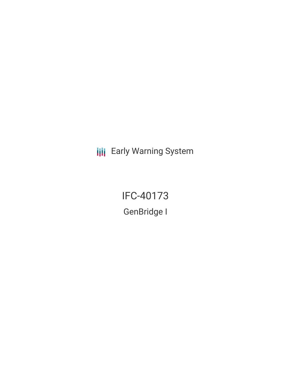**III** Early Warning System

IFC-40173 GenBridge I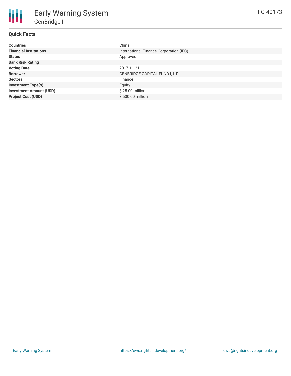| <b>Countries</b>               | China                                   |
|--------------------------------|-----------------------------------------|
| <b>Financial Institutions</b>  | International Finance Corporation (IFC) |
| <b>Status</b>                  | Approved                                |
| <b>Bank Risk Rating</b>        | FI.                                     |
| <b>Voting Date</b>             | 2017-11-21                              |
| <b>Borrower</b>                | GENBRIDGE CAPITAL FUND I, L.P.          |
| <b>Sectors</b>                 | Finance                                 |
| <b>Investment Type(s)</b>      | Equity                                  |
| <b>Investment Amount (USD)</b> | \$25.00 million                         |
| <b>Project Cost (USD)</b>      | \$500.00 million                        |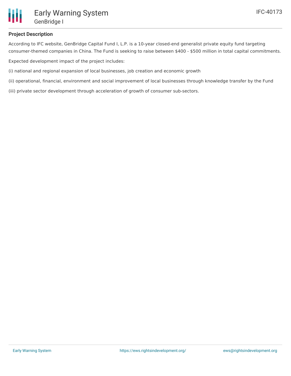

## **Project Description**

According to IFC website, GenBridge Capital Fund I, L.P. is a 10-year closed-end generalist private equity fund targeting consumer-themed companies in China. The Fund is seeking to raise between \$400 - \$500 million in total capital commitments.

Expected development impact of the project includes:

(i) national and regional expansion of local businesses, job creation and economic growth

(ii) operational, financial, environment and social improvement of local businesses through knowledge transfer by the Fund

(iii) private sector development through acceleration of growth of consumer sub-sectors.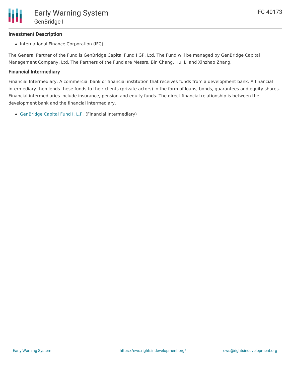## **Investment Description**

• International Finance Corporation (IFC)

The General Partner of the Fund is GenBridge Capital Fund I GP, Ltd. The Fund will be managed by GenBridge Capital Management Company, Ltd. The Partners of the Fund are Messrs. Bin Chang, Hui Li and Xinzhao Zhang.

### **Financial Intermediary**

Financial Intermediary: A commercial bank or financial institution that receives funds from a development bank. A financial intermediary then lends these funds to their clients (private actors) in the form of loans, bonds, guarantees and equity shares. Financial intermediaries include insurance, pension and equity funds. The direct financial relationship is between the development bank and the financial intermediary.

[GenBridge](file:///actor/1346/) Capital Fund I, L.P. (Financial Intermediary)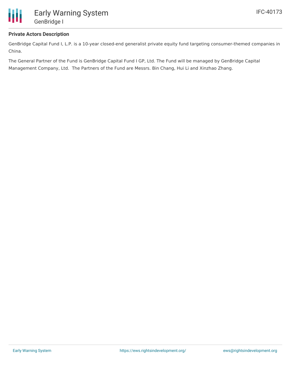

# **Private Actors Description**

GenBridge Capital Fund I, L.P. is a 10-year closed-end generalist private equity fund targeting consumer-themed companies in China.

The General Partner of the Fund is GenBridge Capital Fund I GP, Ltd. The Fund will be managed by GenBridge Capital Management Company, Ltd. The Partners of the Fund are Messrs. Bin Chang, Hui Li and Xinzhao Zhang.